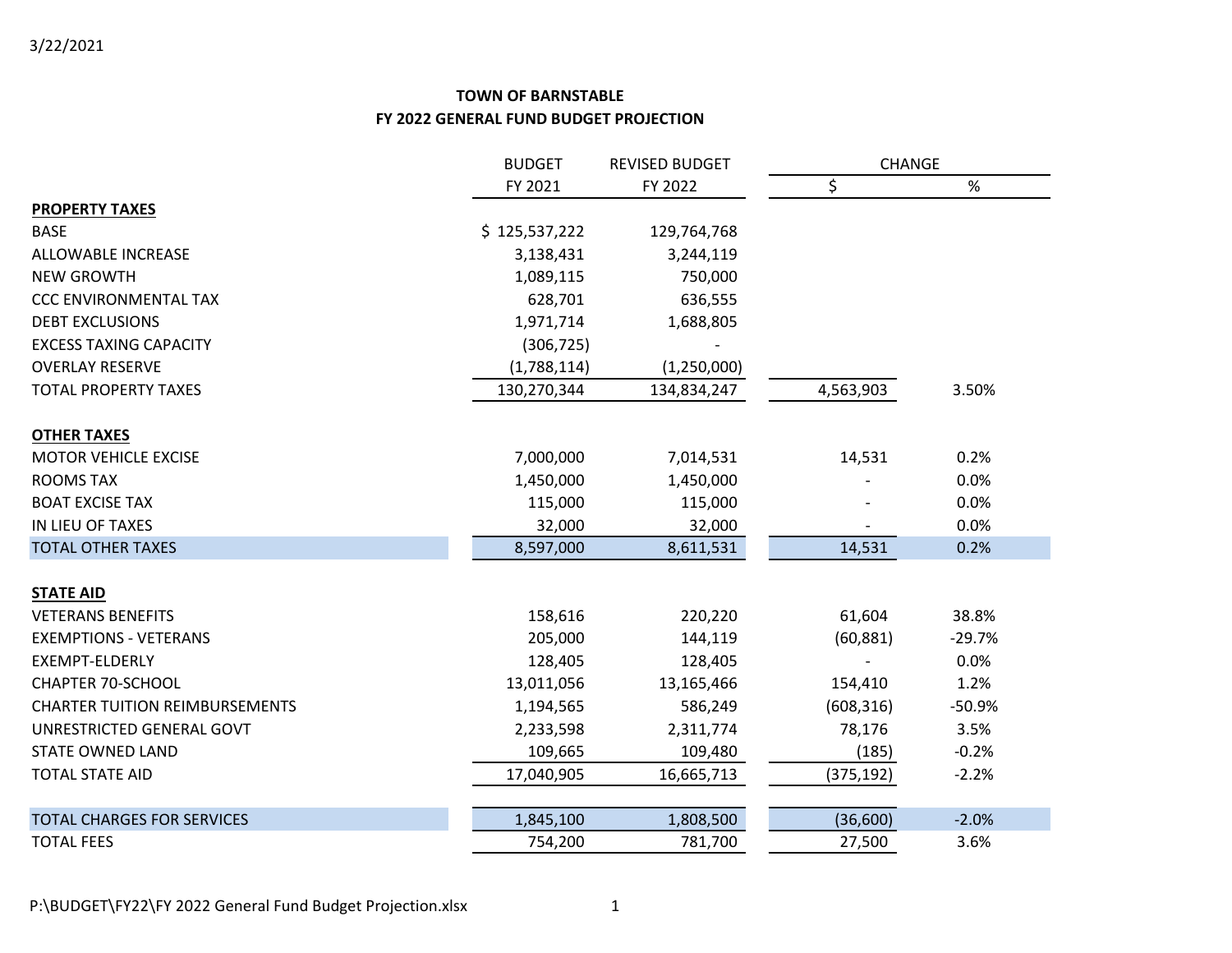|                                       | <b>BUDGET</b> | <b>REVISED BUDGET</b> |            | <b>CHANGE</b> |  |
|---------------------------------------|---------------|-----------------------|------------|---------------|--|
|                                       | FY 2021       | FY 2022               | \$         | %             |  |
| <b>PROPERTY TAXES</b>                 |               |                       |            |               |  |
| <b>BASE</b>                           | \$125,537,222 | 129,764,768           |            |               |  |
| ALLOWABLE INCREASE                    | 3,138,431     | 3,244,119             |            |               |  |
| <b>NEW GROWTH</b>                     | 1,089,115     | 750,000               |            |               |  |
| <b>CCC ENVIRONMENTAL TAX</b>          | 628,701       | 636,555               |            |               |  |
| <b>DEBT EXCLUSIONS</b>                | 1,971,714     | 1,688,805             |            |               |  |
| <b>EXCESS TAXING CAPACITY</b>         | (306, 725)    |                       |            |               |  |
| <b>OVERLAY RESERVE</b>                | (1,788,114)   | (1, 250, 000)         |            |               |  |
| <b>TOTAL PROPERTY TAXES</b>           | 130,270,344   | 134,834,247           | 4,563,903  | 3.50%         |  |
| <b>OTHER TAXES</b>                    |               |                       |            |               |  |
| <b>MOTOR VEHICLE EXCISE</b>           | 7,000,000     | 7,014,531             | 14,531     | 0.2%          |  |
| <b>ROOMS TAX</b>                      | 1,450,000     | 1,450,000             |            | 0.0%          |  |
| <b>BOAT EXCISE TAX</b>                | 115,000       | 115,000               |            | 0.0%          |  |
| IN LIEU OF TAXES                      | 32,000        | 32,000                |            | 0.0%          |  |
| <b>TOTAL OTHER TAXES</b>              | 8,597,000     | 8,611,531             | 14,531     | 0.2%          |  |
| <b>STATE AID</b>                      |               |                       |            |               |  |
| <b>VETERANS BENEFITS</b>              | 158,616       | 220,220               | 61,604     | 38.8%         |  |
| <b>EXEMPTIONS - VETERANS</b>          | 205,000       | 144,119               | (60, 881)  | $-29.7%$      |  |
| EXEMPT-ELDERLY                        | 128,405       | 128,405               |            | 0.0%          |  |
| <b>CHAPTER 70-SCHOOL</b>              | 13,011,056    | 13,165,466            | 154,410    | 1.2%          |  |
| <b>CHARTER TUITION REIMBURSEMENTS</b> | 1,194,565     | 586,249               | (608, 316) | $-50.9%$      |  |
| UNRESTRICTED GENERAL GOVT             | 2,233,598     | 2,311,774             | 78,176     | 3.5%          |  |
| <b>STATE OWNED LAND</b>               | 109,665       | 109,480               | (185)      | $-0.2%$       |  |
| <b>TOTAL STATE AID</b>                | 17,040,905    | 16,665,713            | (375, 192) | $-2.2%$       |  |
| <b>TOTAL CHARGES FOR SERVICES</b>     | 1,845,100     | 1,808,500             | (36,600)   | $-2.0%$       |  |
| <b>TOTAL FEES</b>                     | 754,200       | 781,700               | 27,500     | 3.6%          |  |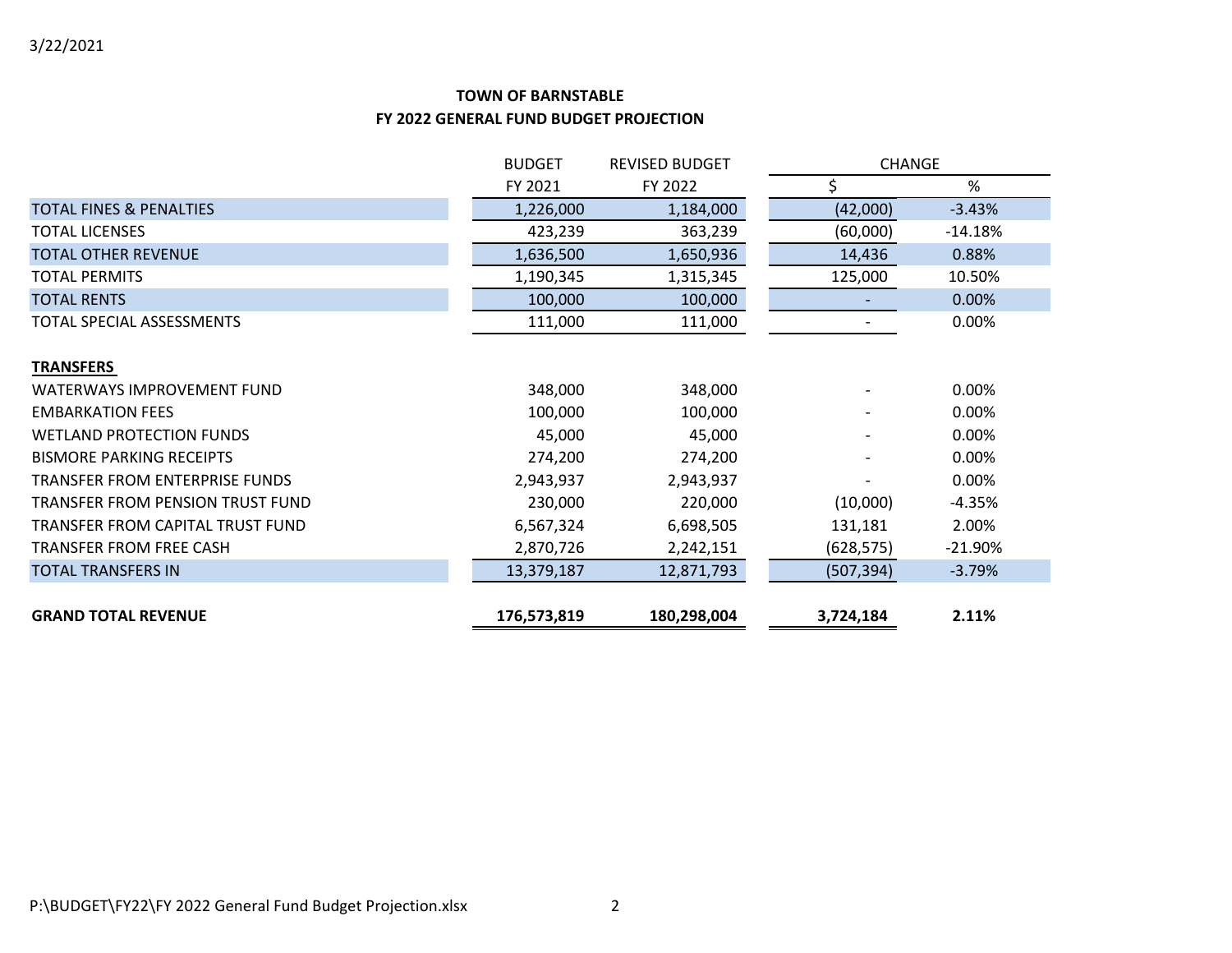|                                    | <b>BUDGET</b><br><b>REVISED BUDGET</b> |             |            | <b>CHANGE</b> |  |
|------------------------------------|----------------------------------------|-------------|------------|---------------|--|
|                                    | FY 2021                                | FY 2022     | Ś.         | %             |  |
| <b>TOTAL FINES &amp; PENALTIES</b> | 1,226,000                              | 1,184,000   | (42,000)   | $-3.43%$      |  |
| <b>TOTAL LICENSES</b>              | 423,239                                | 363,239     | (60,000)   | $-14.18%$     |  |
| <b>TOTAL OTHER REVENUE</b>         | 1,636,500                              | 1,650,936   | 14,436     | 0.88%         |  |
| <b>TOTAL PERMITS</b>               | 1,190,345                              | 1,315,345   | 125,000    | 10.50%        |  |
| <b>TOTAL RENTS</b>                 | 100,000                                | 100,000     |            | 0.00%         |  |
| TOTAL SPECIAL ASSESSMENTS          | 111,000                                | 111,000     |            | 0.00%         |  |
| <b>TRANSFERS</b>                   |                                        |             |            |               |  |
| WATERWAYS IMPROVEMENT FUND         | 348,000                                | 348,000     |            | 0.00%         |  |
| <b>EMBARKATION FEES</b>            | 100,000                                | 100,000     |            | 0.00%         |  |
| <b>WETLAND PROTECTION FUNDS</b>    | 45,000                                 | 45,000      |            | 0.00%         |  |
| <b>BISMORE PARKING RECEIPTS</b>    | 274,200                                | 274,200     |            | 0.00%         |  |
| TRANSFER FROM ENTERPRISE FUNDS     | 2,943,937                              | 2,943,937   |            | 0.00%         |  |
| TRANSFER FROM PENSION TRUST FUND   | 230,000                                | 220,000     | (10,000)   | $-4.35%$      |  |
| TRANSFER FROM CAPITAL TRUST FUND   | 6,567,324                              | 6,698,505   | 131,181    | 2.00%         |  |
| <b>TRANSFER FROM FREE CASH</b>     | 2,870,726                              | 2,242,151   | (628, 575) | $-21.90%$     |  |
| <b>TOTAL TRANSFERS IN</b>          | 13,379,187                             | 12,871,793  | (507, 394) | $-3.79%$      |  |
| <b>GRAND TOTAL REVENUE</b>         | 176,573,819                            | 180,298,004 | 3,724,184  | 2.11%         |  |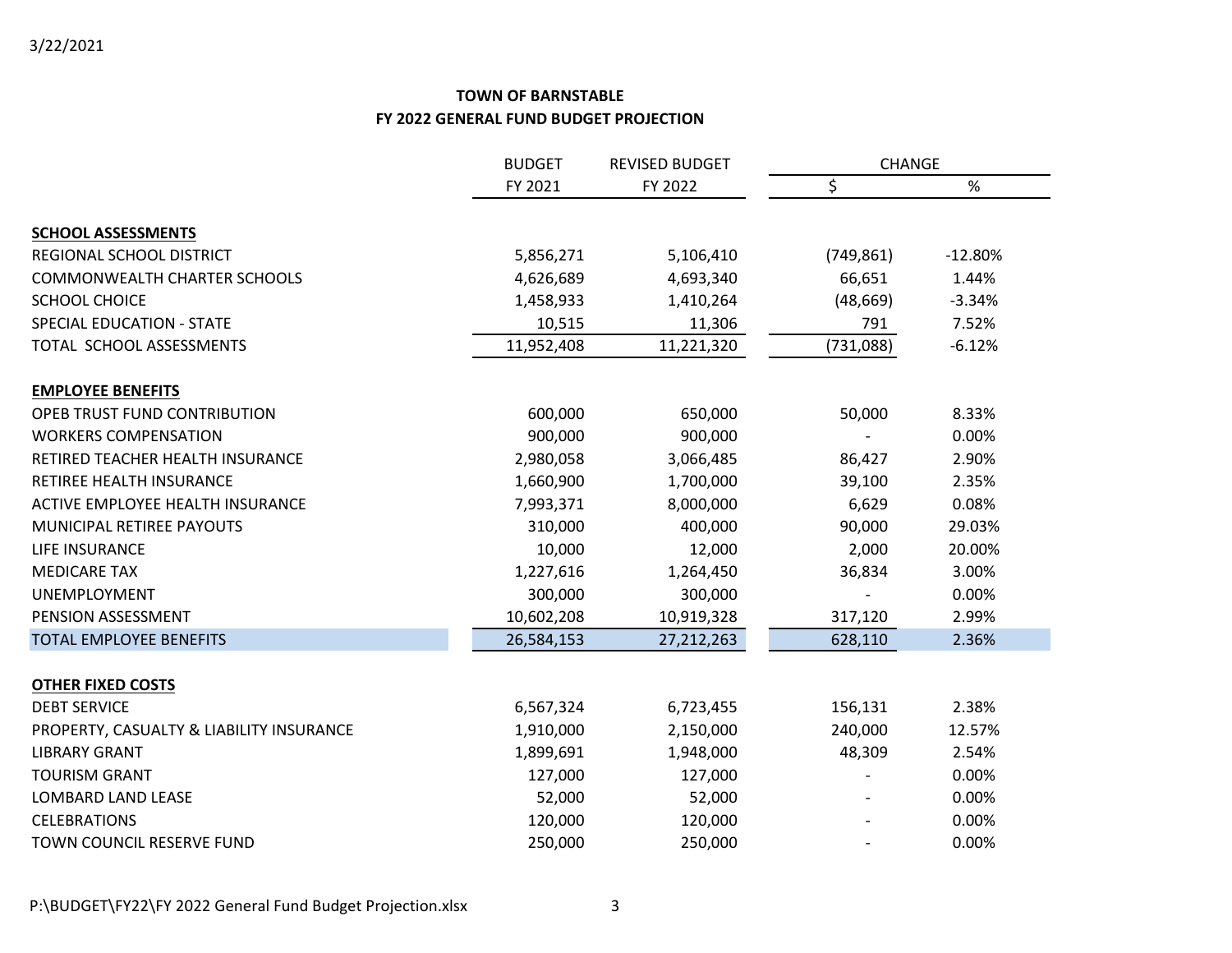|                                          | <b>BUDGET</b> | <b>REVISED BUDGET</b> | CHANGE     |           |
|------------------------------------------|---------------|-----------------------|------------|-----------|
|                                          | FY 2021       | FY 2022               | \$         | %         |
|                                          |               |                       |            |           |
| <b>SCHOOL ASSESSMENTS</b>                |               |                       |            |           |
| REGIONAL SCHOOL DISTRICT                 | 5,856,271     | 5,106,410             | (749, 861) | $-12.80%$ |
| <b>COMMONWEALTH CHARTER SCHOOLS</b>      | 4,626,689     | 4,693,340             | 66,651     | 1.44%     |
| SCHOOL CHOICE                            | 1,458,933     | 1,410,264             | (48, 669)  | $-3.34%$  |
| <b>SPECIAL EDUCATION - STATE</b>         | 10,515        | 11,306                | 791        | 7.52%     |
| TOTAL SCHOOL ASSESSMENTS                 | 11,952,408    | 11,221,320            | (731,088)  | $-6.12%$  |
| <b>EMPLOYEE BENEFITS</b>                 |               |                       |            |           |
| OPEB TRUST FUND CONTRIBUTION             | 600,000       | 650,000               | 50,000     | 8.33%     |
| <b>WORKERS COMPENSATION</b>              | 900,000       | 900,000               |            | 0.00%     |
| RETIRED TEACHER HEALTH INSURANCE         | 2,980,058     | 3,066,485             | 86,427     | 2.90%     |
| <b>RETIREE HEALTH INSURANCE</b>          | 1,660,900     | 1,700,000             | 39,100     | 2.35%     |
| ACTIVE EMPLOYEE HEALTH INSURANCE         | 7,993,371     | 8,000,000             | 6,629      | 0.08%     |
| MUNICIPAL RETIREE PAYOUTS                | 310,000       | 400,000               | 90,000     | 29.03%    |
| LIFE INSURANCE                           | 10,000        | 12,000                | 2,000      | 20.00%    |
| <b>MEDICARE TAX</b>                      | 1,227,616     | 1,264,450             | 36,834     | 3.00%     |
| UNEMPLOYMENT                             | 300,000       | 300,000               |            | 0.00%     |
| PENSION ASSESSMENT                       | 10,602,208    | 10,919,328            | 317,120    | 2.99%     |
| <b>TOTAL EMPLOYEE BENEFITS</b>           | 26,584,153    | 27,212,263            | 628,110    | 2.36%     |
| <b>OTHER FIXED COSTS</b>                 |               |                       |            |           |
| <b>DEBT SERVICE</b>                      | 6,567,324     | 6,723,455             | 156,131    | 2.38%     |
| PROPERTY, CASUALTY & LIABILITY INSURANCE | 1,910,000     | 2,150,000             | 240,000    | 12.57%    |
| <b>LIBRARY GRANT</b>                     | 1,899,691     | 1,948,000             | 48,309     | 2.54%     |
| <b>TOURISM GRANT</b>                     | 127,000       | 127,000               |            | 0.00%     |
| LOMBARD LAND LEASE                       | 52,000        | 52,000                |            | 0.00%     |
| <b>CELEBRATIONS</b>                      | 120,000       | 120,000               |            | 0.00%     |
| TOWN COUNCIL RESERVE FUND                | 250,000       | 250,000               |            | 0.00%     |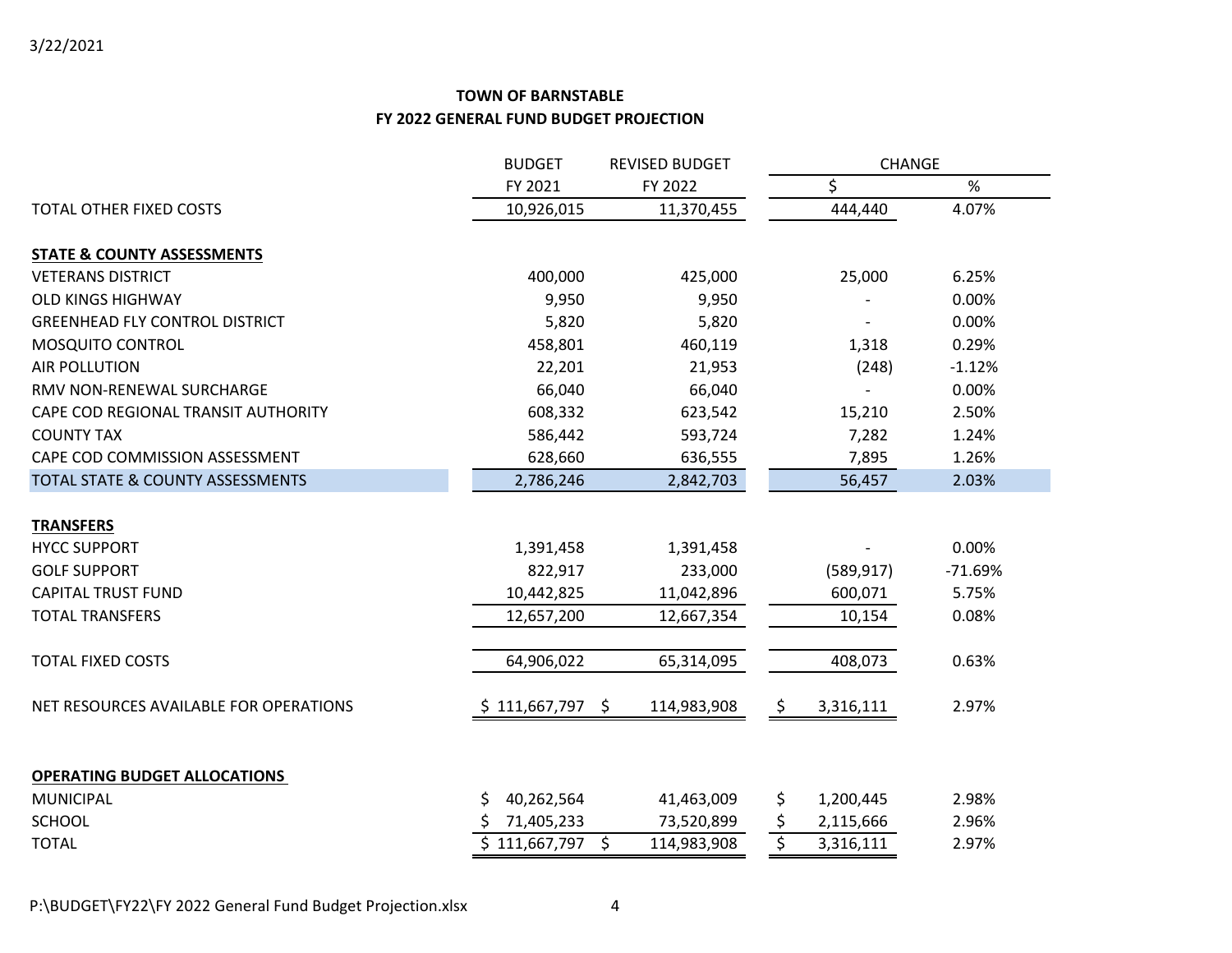|                                                         | <b>BUDGET</b>                       | <b>REVISED BUDGET</b> | CHANGE          |           |  |
|---------------------------------------------------------|-------------------------------------|-----------------------|-----------------|-----------|--|
|                                                         | FY 2021                             | FY 2022               | \$              | %         |  |
| <b>TOTAL OTHER FIXED COSTS</b>                          | 10,926,015                          | 11,370,455            | 444,440         | 4.07%     |  |
| <b>STATE &amp; COUNTY ASSESSMENTS</b>                   |                                     |                       |                 |           |  |
| <b>VETERANS DISTRICT</b>                                | 400,000                             | 425,000               | 25,000          | 6.25%     |  |
| <b>OLD KINGS HIGHWAY</b>                                | 9,950                               | 9,950                 |                 | 0.00%     |  |
| <b>GREENHEAD FLY CONTROL DISTRICT</b>                   | 5,820                               | 5,820                 |                 | 0.00%     |  |
| MOSQUITO CONTROL                                        | 458,801                             | 460,119               | 1,318           | 0.29%     |  |
| <b>AIR POLLUTION</b>                                    | 22,201                              | 21,953                | (248)           | $-1.12%$  |  |
| RMV NON-RENEWAL SURCHARGE                               | 66,040                              | 66,040                |                 | 0.00%     |  |
| CAPE COD REGIONAL TRANSIT AUTHORITY                     | 608,332                             | 623,542               | 15,210          | 2.50%     |  |
| <b>COUNTY TAX</b>                                       | 586,442                             | 593,724               | 7,282           | 1.24%     |  |
| CAPE COD COMMISSION ASSESSMENT                          | 628,660                             | 636,555               | 7,895           | 1.26%     |  |
| TOTAL STATE & COUNTY ASSESSMENTS                        | 2,786,246                           | 2,842,703             | 56,457          | 2.03%     |  |
| <b>TRANSFERS</b>                                        |                                     |                       |                 |           |  |
| <b>HYCC SUPPORT</b>                                     | 1,391,458                           | 1,391,458             |                 | 0.00%     |  |
| <b>GOLF SUPPORT</b>                                     | 822,917                             | 233,000               | (589, 917)      | $-71.69%$ |  |
| <b>CAPITAL TRUST FUND</b>                               | 10,442,825                          | 11,042,896            | 600,071         | 5.75%     |  |
| <b>TOTAL TRANSFERS</b>                                  | 12,657,200                          | 12,667,354            | 10,154          | 0.08%     |  |
| <b>TOTAL FIXED COSTS</b>                                | 64,906,022                          | 65,314,095            | 408,073         | 0.63%     |  |
| NET RESOURCES AVAILABLE FOR OPERATIONS                  | \$111,667,797<br>$\ddot{\varsigma}$ | 114,983,908           | \$<br>3,316,111 | 2.97%     |  |
|                                                         |                                     |                       |                 |           |  |
| <b>OPERATING BUDGET ALLOCATIONS</b><br><b>MUNICIPAL</b> | \$<br>40,262,564                    | 41,463,009            | \$<br>1,200,445 | 2.98%     |  |
| <b>SCHOOL</b>                                           | 71,405,233                          | 73,520,899            | \$<br>2,115,666 | 2.96%     |  |
| <b>TOTAL</b>                                            | $$111,667,797$ \$                   | 114,983,908           | \$<br>3,316,111 | 2.97%     |  |
|                                                         |                                     |                       |                 |           |  |